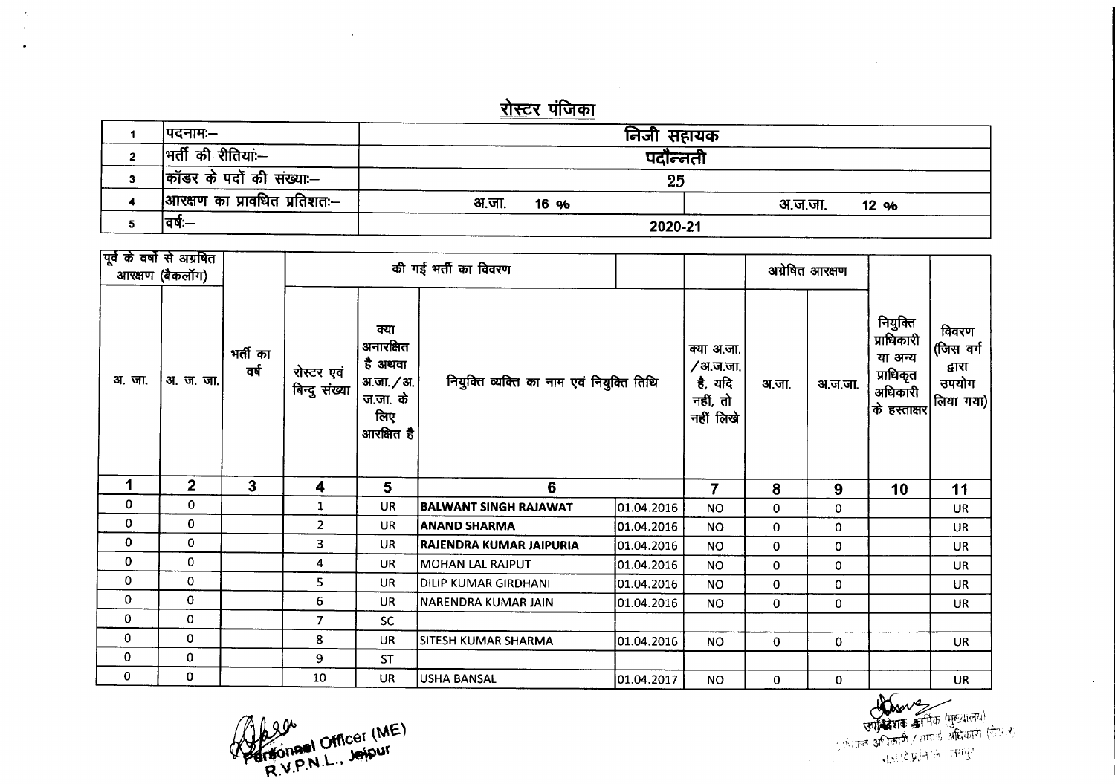## <u>रोस्टर पंजिका</u>

| कॉडर के पदों की संख्या:--<br> आरक्षण का प्रावधित प्रतिशतः— | 25                       |                 |  |  |  |  |
|------------------------------------------------------------|--------------------------|-----------------|--|--|--|--|
| वषः—                                                       | अ.जा.<br>16 %<br>2020-21 | अ.ज.जा.<br>12 % |  |  |  |  |

| पूर्व के वर्षों से अग्रबित<br>आरक्षण (बैकलॉग) |                  |                  | की गई भर्ती का विवरण        |                                                                             |                                           |            |                                                            | अग्रेषित आरक्षण |             |                                                                           |                                                    |
|-----------------------------------------------|------------------|------------------|-----------------------------|-----------------------------------------------------------------------------|-------------------------------------------|------------|------------------------------------------------------------|-----------------|-------------|---------------------------------------------------------------------------|----------------------------------------------------|
| अ.जा.                                         | <u>अ. ज. जा.</u> | भर्ती का<br>वर्ष | रोस्टर एवं<br>बिन्दु संख्या | क्या<br>अनारक्षित<br>है अथवा<br>अ.जा. / अ.<br>ज.जा. के<br>लिए<br>आरक्षित है | नियुक्ति व्यक्ति का नाम एवं नियुक्ति तिथि |            | क्या अ.जा.<br>/अ.ज.जा.<br>है, यदि<br>नहीं, तो<br>नहीं लिखे | अ.जा.           | अ.ज.जा.     | नियुक्ति<br>प्राधिकारी<br>या अन्य<br>प्राधिकृत<br>अधिकारी<br>के हस्ताक्षर | विवरण<br>(जिस वर्ग<br>द्वारा<br>उपयोग<br>लिया गया) |
| 1                                             | $\mathbf{2}$     | $\mathbf{3}$     | 4                           | 5                                                                           | 6                                         |            | $\overline{7}$                                             | 8               | 9           | 10                                                                        | 11                                                 |
| 0                                             | 0                |                  |                             |                                                                             |                                           |            |                                                            |                 |             |                                                                           |                                                    |
|                                               |                  |                  | 1                           | <b>UR</b>                                                                   | BALWANT SINGH RAJAWAT                     | 01.04.2016 | <b>NO</b>                                                  | 0               | $\mathbf 0$ |                                                                           | <b>UR</b>                                          |
| 0                                             | 0                |                  | $\overline{2}$              | <b>UR</b>                                                                   | ANAND SHARMA                              | 01.04.2016 | <b>NO</b>                                                  | 0               | 0           |                                                                           | <b>UR</b>                                          |
| 0                                             | 0                |                  | 3                           | UR                                                                          | RAJENDRA KUMAR JAIPURIA                   | 01.04.2016 | <b>NO</b>                                                  | 0               | 0           |                                                                           | <b>UR</b>                                          |
| 0                                             | 0                |                  | 4                           | <b>UR</b>                                                                   | <b>MOHAN LAL RAJPUT</b>                   | 01.04.2016 | <b>NO</b>                                                  | 0               | 0           |                                                                           | <b>UR</b>                                          |
| 0                                             | $\mathbf{0}$     |                  | 5                           | <b>UR</b>                                                                   | DILIP KUMAR GIRDHANI                      | 01.04.2016 | <b>NO</b>                                                  | 0               | $\mathbf 0$ |                                                                           | UR                                                 |
| 0                                             | $\pmb{0}$        |                  | 6                           | UR                                                                          | NARENDRA KUMAR JAIN                       | 01.04.2016 | <b>NO</b>                                                  | 0               | 0           |                                                                           | UR                                                 |
| 0                                             | $\mathbf 0$      |                  | $\overline{7}$              | <b>SC</b>                                                                   |                                           |            |                                                            |                 |             |                                                                           |                                                    |
| $\mathbf 0$                                   | $\mathbf 0$      |                  | 8                           | <b>UR</b>                                                                   | SITESH KUMAR SHARMA                       | 01.04.2016 | <b>NO</b>                                                  | $\mathbf 0$     | 0           |                                                                           | UR                                                 |
| 0                                             | 0                |                  | 9                           | <b>ST</b>                                                                   |                                           |            |                                                            |                 |             |                                                                           |                                                    |

RVPNL, Jospur

en Entre de la Company de la Company de la Company de la Company de la Company de la Company de la Company de la Company de la Company de la Company de la Company de la Company de la Company de la Company de la Company de